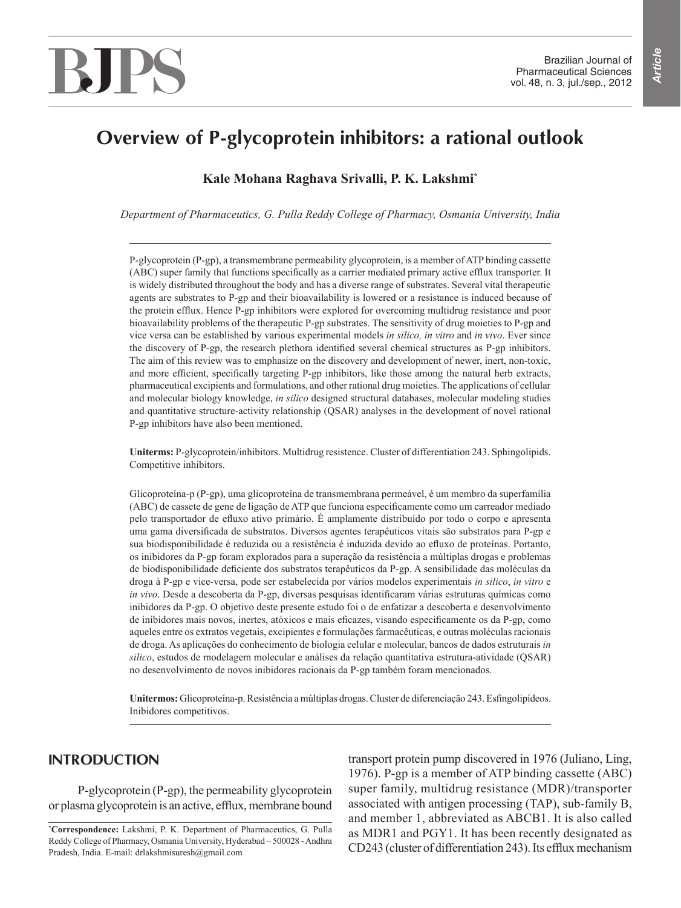# **Overview of P-glycoprotein inhibitors: a rational outlook**

**Kale Mohana Raghava Srivalli, P. K. Lakshmi\***

*Department of Pharmaceutics, G. Pulla Reddy College of Pharmacy, Osmania University, India*

P-glycoprotein (P-gp), a transmembrane permeability glycoprotein, is a member of ATP binding cassette (ABC) super family that functions specifically as a carrier mediated primary active efflux transporter. It is widely distributed throughout the body and has a diverse range of substrates. Several vital therapeutic agents are substrates to P-gp and their bioavailability is lowered or a resistance is induced because of the protein efflux. Hence P-gp inhibitors were explored for overcoming multidrug resistance and poor bioavailability problems of the therapeutic P-gp substrates. The sensitivity of drug moieties to P-gp and vice versa can be established by various experimental models *in silico, in vitro* and *in vivo*. Ever since the discovery of P-gp, the research plethora identified several chemical structures as P-gp inhibitors. The aim of this review was to emphasize on the discovery and development of newer, inert, non-toxic, and more efficient, specifically targeting P-gp inhibitors, like those among the natural herb extracts, pharmaceutical excipients and formulations, and other rational drug moieties. The applications of cellular and molecular biology knowledge, *in silico* designed structural databases, molecular modeling studies and quantitative structure-activity relationship (QSAR) analyses in the development of novel rational P-gp inhibitors have also been mentioned.

**Uniterms:** P-glycoprotein/inhibitors. Multidrug resistence. Cluster of differentiation 243. Sphingolipids. Competitive inhibitors.

Glicoproteína-p (P-gp), uma glicoproteína de transmembrana permeável, é um membro da superfamília (ABC) de cassete de gene de ligação de ATP que funciona especificamente como um carreador mediado pelo transportador de efluxo ativo primário. É amplamente distribuído por todo o corpo e apresenta uma gama diversificada de substratos. Diversos agentes terapêuticos vitais são substratos para P-gp e sua biodisponibilidade é reduzida ou a resistência é induzida devido ao efluxo de proteínas. Portanto, os inibidores da P-gp foram explorados para a superação da resistência a múltiplas drogas e problemas de biodisponibilidade deficiente dos substratos terapêuticos da P-gp. A sensibilidade das moléculas da droga à P-gp e vice-versa, pode ser estabelecida por vários modelos experimentais *in silico*, *in vitro* e *in vivo*. Desde a descoberta da P-gp, diversas pesquisas identificaram várias estruturas químicas como inibidores da P-gp. O objetivo deste presente estudo foi o de enfatizar a descoberta e desenvolvimento de inibidores mais novos, inertes, atóxicos e mais eficazes, visando especificamente os da P-gp, como aqueles entre os extratos vegetais, excipientes e formulações farmacêuticas, e outras moléculas racionais de droga. As aplicações do conhecimento de biologia celular e molecular, bancos de dados estruturais *in silico*, estudos de modelagem molecular e análises da relação quantitativa estrutura-atividade (QSAR) no desenvolvimento de novos inibidores racionais da P-gp também foram mencionados.

**Unitermos:** Glicoproteína-p. Resistência a múltiplas drogas. Cluster de diferenciação 243. Esfingolipídeos. Inibidores competitivos.

# **INTRODUCTION**

P-glycoprotein (P-gp), the permeability glycoprotein or plasma glycoprotein is an active, efflux, membrane bound transport protein pump discovered in 1976 (Juliano, Ling, 1976). P-gp is a member of ATP binding cassette (ABC) super family, multidrug resistance (MDR)/transporter associated with antigen processing (TAP), sub-family B, and member 1, abbreviated as ABCB1. It is also called as MDR1 and PGY1. It has been recently designated as CD243 (cluster of differentiation 243). Its efflux mechanism

**<sup>\*</sup> Correspondence:** Lakshmi, P. K. Department of Pharmaceutics, G. Pulla Reddy College of Pharmacy, Osmania University, Hyderabad – 500028 - Andhra Pradesh, India. E-mail: drlakshmisuresh@gmail.com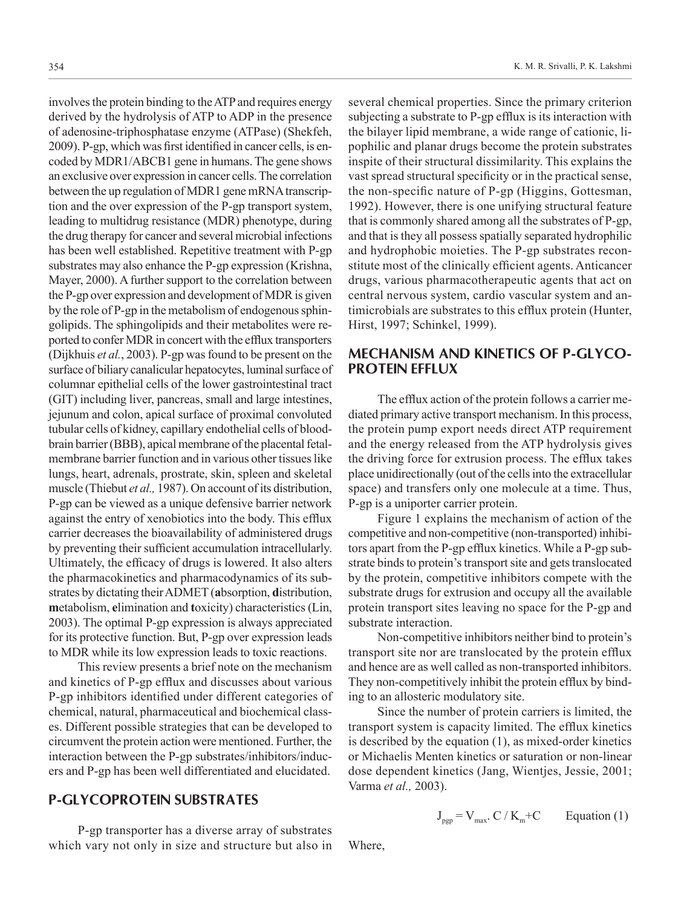involves the protein binding to the ATP and requires energy derived by the hydrolysis of ATP to ADP in the presence of adenosine-triphosphatase enzyme (ATPase) (Shekfeh, 2009). P-gp, which was first identified in cancer cells, is encoded by MDR1/ABCB1 gene in humans. The gene shows an exclusive over expression in cancer cells. The correlation between the up regulation of MDR1 gene mRNA transcription and the over expression of the P-gp transport system, leading to multidrug resistance (MDR) phenotype, during the drug therapy for cancer and several microbial infections has been well established. Repetitive treatment with P-gp substrates may also enhance the P-gp expression (Krishna, Mayer, 2000). A further support to the correlation between the P-gp over expression and development of MDR is given by the role of P-gp in the metabolism of endogenous sphingolipids. The sphingolipids and their metabolites were reported to confer MDR in concert with the efflux transporters (Dijkhuis *et al.*, 2003). P-gp was found to be present on the surface of biliary canalicular hepatocytes, luminal surface of columnar epithelial cells of the lower gastrointestinal tract (GIT) including liver, pancreas, small and large intestines, jejunum and colon, apical surface of proximal convoluted tubular cells of kidney, capillary endothelial cells of bloodbrain barrier (BBB), apical membrane of the placental fetalmembrane barrier function and in various other tissues like lungs, heart, adrenals, prostrate, skin, spleen and skeletal muscle (Thiebut *et al.,* 1987). On account of its distribution, P-gp can be viewed as a unique defensive barrier network against the entry of xenobiotics into the body. This efflux carrier decreases the bioavailability of administered drugs by preventing their sufficient accumulation intracellularly. Ultimately, the efficacy of drugs is lowered. It also alters the pharmacokinetics and pharmacodynamics of its substrates by dictating their ADMET (**a**bsorption, **d**istribution, **m**etabolism, **e**limination and **t**oxicity) characteristics (Lin, 2003). The optimal P-gp expression is always appreciated for its protective function. But, P-gp over expression leads to MDR while its low expression leads to toxic reactions.

This review presents a brief note on the mechanism and kinetics of P-gp efflux and discusses about various P-gp inhibitors identified under different categories of chemical, natural, pharmaceutical and biochemical classes. Different possible strategies that can be developed to circumvent the protein action were mentioned. Further, the interaction between the P-gp substrates/inhibitors/inducers and P-gp has been well differentiated and elucidated.

# **P-GLYCOPROTEIN SUBSTRATES**

P-gp transporter has a diverse array of substrates which vary not only in size and structure but also in several chemical properties. Since the primary criterion subjecting a substrate to P-gp efflux is its interaction with the bilayer lipid membrane, a wide range of cationic, lipophilic and planar drugs become the protein substrates inspite of their structural dissimilarity. This explains the vast spread structural specificity or in the practical sense, the non-specific nature of P-gp (Higgins, Gottesman, 1992). However, there is one unifying structural feature that is commonly shared among all the substrates of P-gp, and that is they all possess spatially separated hydrophilic and hydrophobic moieties. The P-gp substrates reconstitute most of the clinically efficient agents. Anticancer drugs, various pharmacotherapeutic agents that act on central nervous system, cardio vascular system and antimicrobials are substrates to this efflux protein (Hunter, Hirst, 1997; Schinkel, 1999).

# **MECHANISM AND KINETICS OF P-GLYCO-PROTEIN EFFLUX**

The efflux action of the protein follows a carrier mediated primary active transport mechanism. In this process, the protein pump export needs direct ATP requirement and the energy released from the ATP hydrolysis gives the driving force for extrusion process. The efflux takes place unidirectionally (out of the cells into the extracellular space) and transfers only one molecule at a time. Thus, P-gp is a uniporter carrier protein.

Figure 1 explains the mechanism of action of the competitive and non-competitive (non-transported) inhibitors apart from the P-gp efflux kinetics. While a P-gp substrate binds to protein's transport site and gets translocated by the protein, competitive inhibitors compete with the substrate drugs for extrusion and occupy all the available protein transport sites leaving no space for the P-gp and substrate interaction.

Non-competitive inhibitors neither bind to protein's transport site nor are translocated by the protein efflux and hence are as well called as non-transported inhibitors. They non-competitively inhibit the protein efflux by binding to an allosteric modulatory site.

Since the number of protein carriers is limited, the transport system is capacity limited. The efflux kinetics is described by the equation (1), as mixed-order kinetics or Michaelis Menten kinetics or saturation or non-linear dose dependent kinetics (Jang, Wientjes, Jessie, 2001; Varma *et al.,* 2003).

$$
J_{\text{pgp}} = V_{\text{max}}. C / K_{\text{m}} + C \qquad \text{Equation (1)}
$$

Where,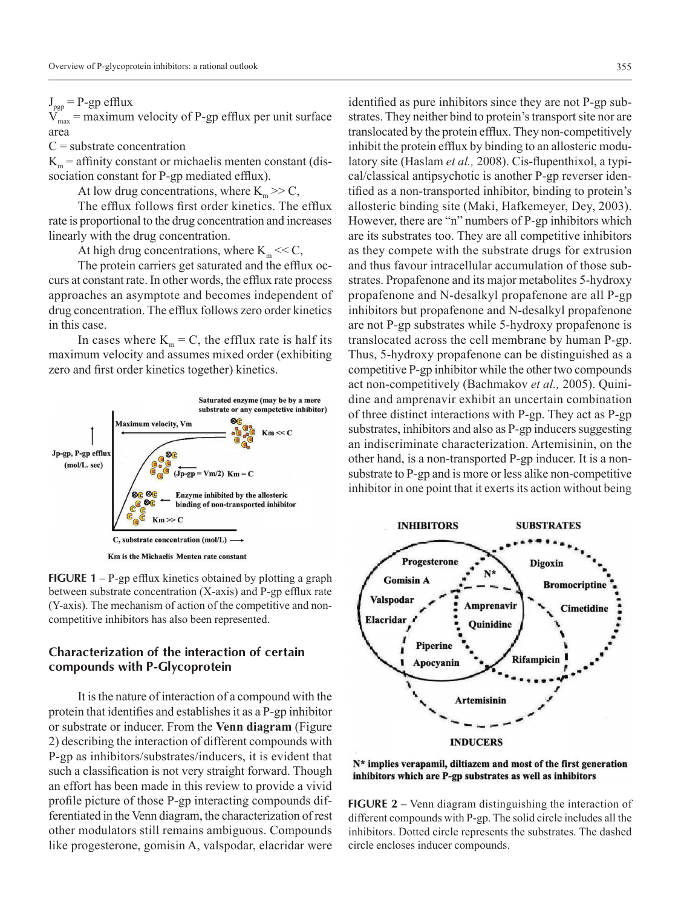$J_{pgp} = P$ -gp efflux

 $V_{\text{max}}^{\text{ter}}$  = maximum velocity of P-gp efflux per unit surface area

 $C$  = substrate concentration

 $K_m$  = affinity constant or michaelis menten constant (dissociation constant for P-gp mediated efflux).

At low drug concentrations, where  $K_m \gg C$ ,

The efflux follows first order kinetics. The efflux rate is proportional to the drug concentration and increases linearly with the drug concentration.

At high drug concentrations, where  $K_m \ll C$ ,

The protein carriers get saturated and the efflux occurs at constant rate. In other words, the efflux rate process approaches an asymptote and becomes independent of drug concentration. The efflux follows zero order kinetics in this case.

In cases where  $K_m = C$ , the efflux rate is half its maximum velocity and assumes mixed order (exhibiting zero and first order kinetics together) kinetics.



**FIGURE 1** – P-gp efflux kinetics obtained by plotting a graph between substrate concentration (X-axis) and P-gp efflux rate (Y-axis). The mechanism of action of the competitive and noncompetitive inhibitors has also been represented.

# **Characterization of the interaction of certain compounds with P-Glycoprotein**

It is the nature of interaction of a compound with the protein that identifies and establishes it as a P-gp inhibitor or substrate or inducer. From the **Venn diagram** (Figure 2) describing the interaction of different compounds with P-gp as inhibitors/substrates/inducers, it is evident that such a classification is not very straight forward. Though an effort has been made in this review to provide a vivid profile picture of those P-gp interacting compounds differentiated in the Venn diagram, the characterization of rest other modulators still remains ambiguous. Compounds like progesterone, gomisin A, valspodar, elacridar were

identified as pure inhibitors since they are not P-gp substrates. They neither bind to protein's transport site nor are translocated by the protein efflux. They non-competitively inhibit the protein efflux by binding to an allosteric modulatory site (Haslam *et al.,* 2008). Cis-flupenthixol, a typical/classical antipsychotic is another P-gp reverser identified as a non-transported inhibitor, binding to protein's allosteric binding site (Maki, Hafkemeyer, Dey, 2003). However, there are "n" numbers of P-gp inhibitors which are its substrates too. They are all competitive inhibitors as they compete with the substrate drugs for extrusion and thus favour intracellular accumulation of those substrates. Propafenone and its major metabolites 5-hydroxy propafenone and N-desalkyl propafenone are all P-gp inhibitors but propafenone and N-desalkyl propafenone are not P-gp substrates while 5-hydroxy propafenone is translocated across the cell membrane by human P-gp. Thus, 5-hydroxy propafenone can be distinguished as a competitive P-gp inhibitor while the other two compounds act non-competitively (Bachmakov *et al.,* 2005). Quinidine and amprenavir exhibit an uncertain combination of three distinct interactions with P-gp. They act as P-gp substrates, inhibitors and also as P-gp inducers suggesting an indiscriminate characterization. Artemisinin, on the other hand, is a non-transported P-gp inducer. It is a nonsubstrate to P-gp and is more or less alike non-competitive inhibitor in one point that it exerts its action without being





**FIGURE 2** – Venn diagram distinguishing the interaction of different compounds with P-gp. The solid circle includes all the inhibitors. Dotted circle represents the substrates. The dashed circle encloses inducer compounds.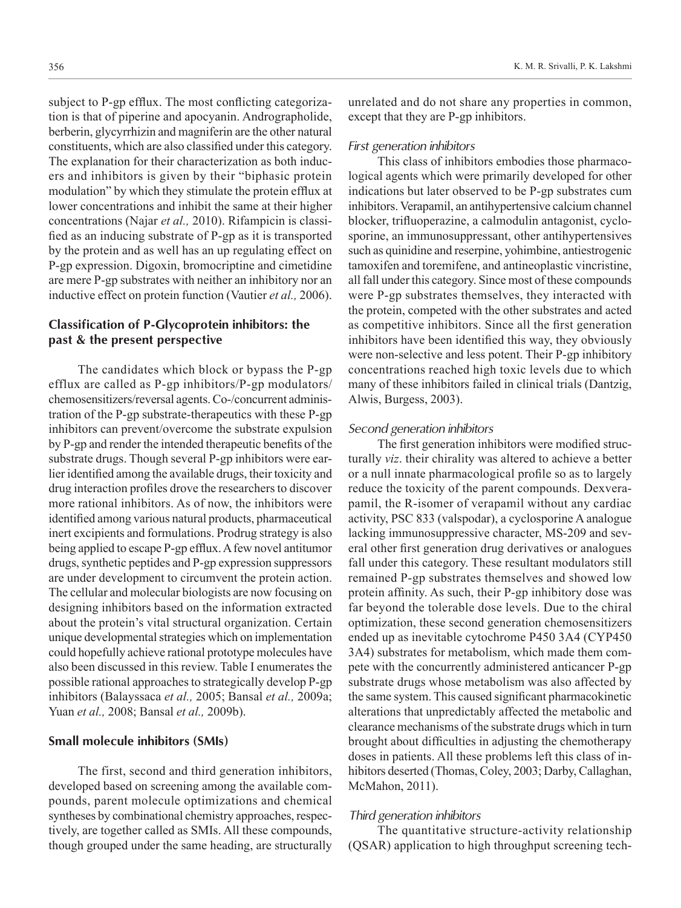subject to P-gp efflux. The most conflicting categorization is that of piperine and apocyanin. Andrographolide, berberin, glycyrrhizin and magniferin are the other natural constituents, which are also classified under this category. The explanation for their characterization as both inducers and inhibitors is given by their "biphasic protein modulation" by which they stimulate the protein efflux at lower concentrations and inhibit the same at their higher concentrations (Najar *et al.,* 2010). Rifampicin is classified as an inducing substrate of P-gp as it is transported by the protein and as well has an up regulating effect on P-gp expression. Digoxin, bromocriptine and cimetidine are mere P-gp substrates with neither an inhibitory nor an inductive effect on protein function (Vautier *et al.,* 2006).

## **Classification of P-Glycoprotein inhibitors: the past & the present perspective**

The candidates which block or bypass the P-gp efflux are called as P-gp inhibitors/P-gp modulators/ chemosensitizers/reversal agents. Co-/concurrent administration of the P-gp substrate-therapeutics with these P-gp inhibitors can prevent/overcome the substrate expulsion by P-gp and render the intended therapeutic benefits of the substrate drugs. Though several P-gp inhibitors were earlier identified among the available drugs, their toxicity and drug interaction profiles drove the researchers to discover more rational inhibitors. As of now, the inhibitors were identified among various natural products, pharmaceutical inert excipients and formulations. Prodrug strategy is also being applied to escape P-gp efflux. A few novel antitumor drugs, synthetic peptides and P-gp expression suppressors are under development to circumvent the protein action. The cellular and molecular biologists are now focusing on designing inhibitors based on the information extracted about the protein's vital structural organization. Certain unique developmental strategies which on implementation could hopefully achieve rational prototype molecules have also been discussed in this review. Table I enumerates the possible rational approaches to strategically develop P-gp inhibitors (Balayssaca *et al.,* 2005; Bansal *et al.,* 2009a; Yuan *et al.,* 2008; Bansal *et al.,* 2009b).

#### **Small molecule inhibitors (SMIs)**

The first, second and third generation inhibitors, developed based on screening among the available compounds, parent molecule optimizations and chemical syntheses by combinational chemistry approaches, respectively, are together called as SMIs. All these compounds, though grouped under the same heading, are structurally unrelated and do not share any properties in common, except that they are P-gp inhibitors.

#### *First generation inhibitors*

This class of inhibitors embodies those pharmacological agents which were primarily developed for other indications but later observed to be P-gp substrates cum inhibitors. Verapamil, an antihypertensive calcium channel blocker, trifluoperazine, a calmodulin antagonist, cyclosporine, an immunosuppressant, other antihypertensives such as quinidine and reserpine, yohimbine, antiestrogenic tamoxifen and toremifene, and antineoplastic vincristine, all fall under this category. Since most of these compounds were P-gp substrates themselves, they interacted with the protein, competed with the other substrates and acted as competitive inhibitors. Since all the first generation inhibitors have been identified this way, they obviously were non-selective and less potent. Their P-gp inhibitory concentrations reached high toxic levels due to which many of these inhibitors failed in clinical trials (Dantzig, Alwis, Burgess, 2003).

#### *Second generation inhibitors*

The first generation inhibitors were modified structurally *viz*. their chirality was altered to achieve a better or a null innate pharmacological profile so as to largely reduce the toxicity of the parent compounds. Dexverapamil, the R-isomer of verapamil without any cardiac activity, PSC 833 (valspodar), a cyclosporine A analogue lacking immunosuppressive character, MS-209 and several other first generation drug derivatives or analogues fall under this category. These resultant modulators still remained P-gp substrates themselves and showed low protein affinity. As such, their P-gp inhibitory dose was far beyond the tolerable dose levels. Due to the chiral optimization, these second generation chemosensitizers ended up as inevitable cytochrome P450 3A4 (CYP450 3A4) substrates for metabolism, which made them compete with the concurrently administered anticancer P-gp substrate drugs whose metabolism was also affected by the same system. This caused significant pharmacokinetic alterations that unpredictably affected the metabolic and clearance mechanisms of the substrate drugs which in turn brought about difficulties in adjusting the chemotherapy doses in patients. All these problems left this class of inhibitors deserted (Thomas, Coley, 2003; Darby, Callaghan, McMahon, 2011).

#### *Third generation inhibitors*

The quantitative structure-activity relationship (QSAR) application to high throughput screening tech-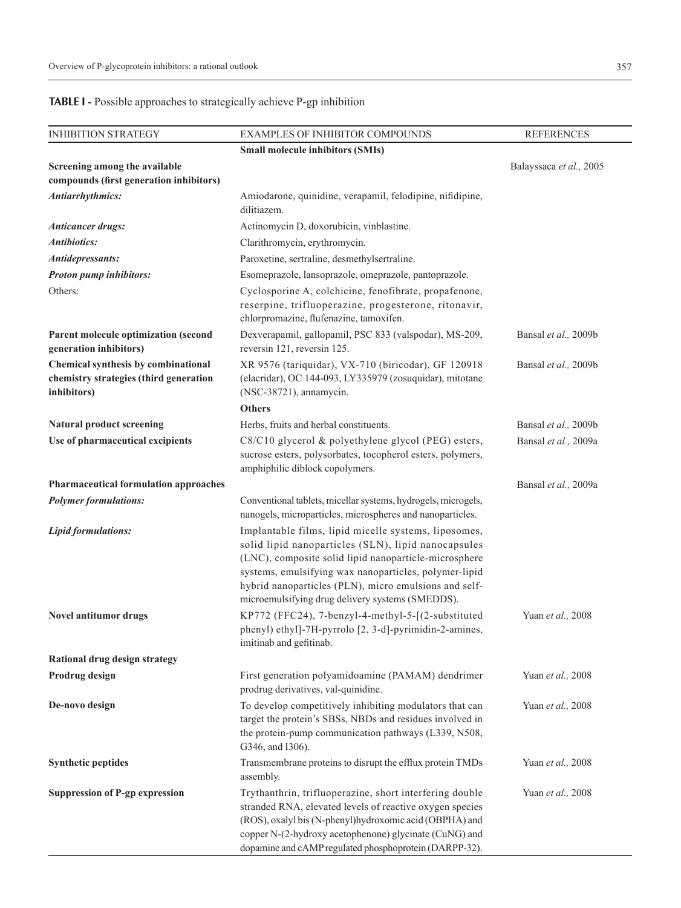# **TABLE I -** Possible approaches to strategically achieve P-gp inhibition

| <b>INHIBITION STRATEGY</b>                                                                   | EXAMPLES OF INHIBITOR COMPOUNDS                                                                                                                                                                                                                                                                                                            | <b>REFERENCES</b>       |
|----------------------------------------------------------------------------------------------|--------------------------------------------------------------------------------------------------------------------------------------------------------------------------------------------------------------------------------------------------------------------------------------------------------------------------------------------|-------------------------|
|                                                                                              | <b>Small molecule inhibitors (SMIs)</b>                                                                                                                                                                                                                                                                                                    |                         |
| Screening among the available<br>compounds (first generation inhibitors)                     |                                                                                                                                                                                                                                                                                                                                            | Balayssaca et al., 2005 |
| <b>Antiarrhythmics:</b>                                                                      | Amiodarone, quinidine, verapamil, felodipine, nifidipine,<br>dilitiazem.                                                                                                                                                                                                                                                                   |                         |
| <b>Anticancer drugs:</b>                                                                     | Actinomycin D, doxorubicin, vinblastine.                                                                                                                                                                                                                                                                                                   |                         |
| <b>Antibiotics:</b>                                                                          | Clarithromycin, erythromycin.                                                                                                                                                                                                                                                                                                              |                         |
| Antidepressants:                                                                             | Paroxetine, sertraline, desmethylsertraline.                                                                                                                                                                                                                                                                                               |                         |
| Proton pump inhibitors:                                                                      | Esomeprazole, lansoprazole, omeprazole, pantoprazole.                                                                                                                                                                                                                                                                                      |                         |
| Others:                                                                                      | Cyclosporine A, colchicine, fenofibrate, propafenone,<br>reserpine, trifluoperazine, progesterone, ritonavir,<br>chlorpromazine, flufenazine, tamoxifen.                                                                                                                                                                                   |                         |
| <b>Parent molecule optimization (second</b><br>generation inhibitors)                        | Dexverapamil, gallopamil, PSC 833 (valspodar), MS-209,<br>reversin 121, reversin 125.                                                                                                                                                                                                                                                      | Bansal et al., 2009b    |
| Chemical synthesis by combinational<br>chemistry strategies (third generation<br>inhibitors) | XR 9576 (tariquidar), VX-710 (biricodar), GF 120918<br>(elacridar), OC 144-093, LY335979 (zosuquidar), mitotane<br>(NSC-38721), annamycin.                                                                                                                                                                                                 | Bansal et al., 2009b    |
|                                                                                              | <b>Others</b>                                                                                                                                                                                                                                                                                                                              |                         |
| <b>Natural product screening</b>                                                             | Herbs, fruits and herbal constituents.                                                                                                                                                                                                                                                                                                     | Bansal et al., 2009b    |
| Use of pharmaceutical excipients                                                             | C8/C10 glycerol & polyethylene glycol (PEG) esters,<br>sucrose esters, polysorbates, tocopherol esters, polymers,<br>amphiphilic diblock copolymers.                                                                                                                                                                                       | Bansal et al., 2009a    |
| <b>Pharmaceutical formulation approaches</b>                                                 |                                                                                                                                                                                                                                                                                                                                            | Bansal et al., 2009a    |
| <b>Polymer formulations:</b>                                                                 | Conventional tablets, micellar systems, hydrogels, microgels,<br>nanogels, microparticles, microspheres and nanoparticles.                                                                                                                                                                                                                 |                         |
| <b>Lipid formulations:</b>                                                                   | Implantable films, lipid micelle systems, liposomes,<br>solid lipid nanoparticles (SLN), lipid nanocapsules<br>(LNC), composite solid lipid nanoparticle-microsphere<br>systems, emulsifying wax nanoparticles, polymer-lipid<br>hybrid nanoparticles (PLN), micro emulsions and self-<br>microemulsifying drug delivery systems (SMEDDS). |                         |
| <b>Novel antitumor drugs</b>                                                                 | KP772 (FFC24), 7-benzyl-4-methyl-5-[(2-substituted<br>phenyl) ethyl]-7H-pyrrolo [2, 3-d]-pyrimidin-2-amines,<br>imitinab and gefitinab.                                                                                                                                                                                                    | Yuan et al., 2008       |
| Rational drug design strategy                                                                |                                                                                                                                                                                                                                                                                                                                            |                         |
| Prodrug design                                                                               | First generation polyamidoamine (PAMAM) dendrimer<br>prodrug derivatives, val-quinidine.                                                                                                                                                                                                                                                   | Yuan et al., 2008       |
| De-novo design                                                                               | To develop competitively inhibiting modulators that can<br>target the protein's SBSs, NBDs and residues involved in<br>the protein-pump communication pathways (L339, N508,<br>G346, and I306).                                                                                                                                            | Yuan et al., 2008       |
| <b>Synthetic peptides</b>                                                                    | Transmembrane proteins to disrupt the efflux protein TMDs<br>assembly.                                                                                                                                                                                                                                                                     | Yuan et al., 2008       |
| <b>Suppression of P-gp expression</b>                                                        | Trythanthrin, trifluoperazine, short interfering double<br>stranded RNA, elevated levels of reactive oxygen species<br>(ROS), oxalyl bis (N-phenyl)hydroxomic acid (OBPHA) and<br>copper N-(2-hydroxy acetophenone) glycinate (CuNG) and<br>dopamine and cAMP regulated phosphoprotein (DARPP-32).                                         | Yuan et al., 2008       |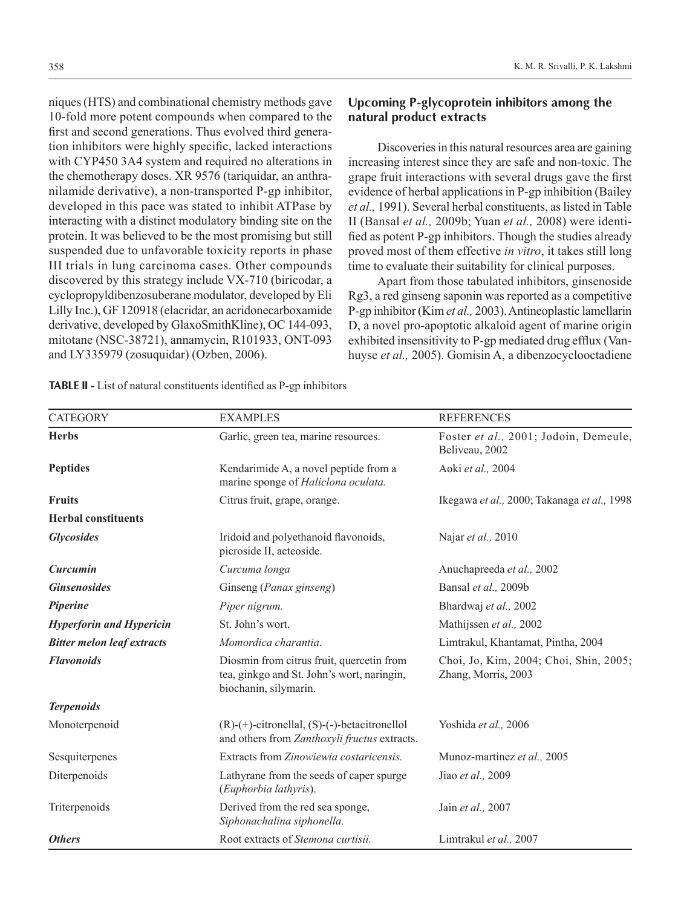niques (HTS) and combinational chemistry methods gave 10-fold more potent compounds when compared to the first and second generations. Thus evolved third generation inhibitors were highly specific, lacked interactions with CYP450 3A4 system and required no alterations in the chemotherapy doses. XR 9576 (tariquidar, an anthranilamide derivative), a non-transported P-gp inhibitor, developed in this pace was stated to inhibit ATPase by interacting with a distinct modulatory binding site on the protein. It was believed to be the most promising but still suspended due to unfavorable toxicity reports in phase III trials in lung carcinoma cases. Other compounds discovered by this strategy include VX-710 (biricodar, a cyclopropyldibenzosuberane modulator, developed by Eli Lilly Inc.), GF 120918 (elacridar, an acridonecarboxamide derivative, developed by GlaxoSmithKline), OC 144-093, mitotane (NSC-38721), annamycin, R101933, ONT-093 and LY335979 (zosuquidar) (Ozben, 2006).

## **Upcoming P-glycoprotein inhibitors among the natural product extracts**

Discoveries in this natural resources area are gaining increasing interest since they are safe and non-toxic. The grape fruit interactions with several drugs gave the first evidence of herbal applications in P-gp inhibition (Bailey *et al.,* 1991). Several herbal constituents, as listed in Table II (Bansal *et al.,* 2009b; Yuan *et al.,* 2008) were identified as potent P-gp inhibitors. Though the studies already proved most of them effective *in vitro*, it takes still long time to evaluate their suitability for clinical purposes.

Apart from those tabulated inhibitors, ginsenoside Rg3, a red ginseng saponin was reported as a competitive P-gp inhibitor (Kim *et al.,* 2003). Antineoplastic lamellarin D, a novel pro-apoptotic alkaloid agent of marine origin exhibited insensitivity to P-gp mediated drug efflux (Vanhuyse *et al.,* 2005). Gomisin A, a dibenzocyclooctadiene

| <b>TABLE II -</b> List of natural constituents identified as P-gp inhibitors |  |  |  |  |
|------------------------------------------------------------------------------|--|--|--|--|
|------------------------------------------------------------------------------|--|--|--|--|

| <b>CATEGORY</b>                   | <b>EXAMPLES</b>                                                                                                  | <b>REFERENCES</b>                                             |
|-----------------------------------|------------------------------------------------------------------------------------------------------------------|---------------------------------------------------------------|
| <b>Herbs</b>                      | Garlic, green tea, marine resources.                                                                             | Foster et al., 2001; Jodoin, Demeule,<br>Beliveau, 2002       |
| <b>Peptides</b>                   | Kendarimide A, a novel peptide from a<br>marine sponge of Haliclona oculata.                                     | Aoki et al., 2004                                             |
| <b>Fruits</b>                     | Citrus fruit, grape, orange.                                                                                     | Ikegawa et al., 2000; Takanaga et al., 1998                   |
| <b>Herbal constituents</b>        |                                                                                                                  |                                                               |
| <b>Glycosides</b>                 | Iridoid and polyethanoid flavonoids,<br>picroside II, acteoside.                                                 | Najar et al., 2010                                            |
| <b>Curcumin</b>                   | Curcuma longa                                                                                                    | Anuchapreeda et al., 2002                                     |
| <b>Ginsenosides</b>               | Ginseng (Panax ginseng)                                                                                          | Bansal et al., 2009b                                          |
| Piperine                          | Piper nigrum.                                                                                                    | Bhardwaj et al., 2002                                         |
| <b>Hyperforin and Hypericin</b>   | St. John's wort.                                                                                                 | Mathijssen et al., 2002                                       |
| <b>Bitter melon leaf extracts</b> | Momordica charantia.                                                                                             | Limtrakul, Khantamat, Pintha, 2004                            |
| <b>Flavonoids</b>                 | Diosmin from citrus fruit, quercetin from<br>tea, ginkgo and St. John's wort, naringin,<br>biochanin, silymarin. | Choi, Jo, Kim, 2004; Choi, Shin, 2005;<br>Zhang, Morris, 2003 |
| <b>Terpenoids</b>                 |                                                                                                                  |                                                               |
| Monoterpenoid                     | $(R)-(+)$ -citronellal, $(S)-(-)$ -betacitronellol<br>and others from Zanthoxyli fructus extracts.               | Yoshida et al., 2006                                          |
| Sesquiterpenes                    | Extracts from Zinowiewia costaricensis.                                                                          | Munoz-martinez et al., 2005                                   |
| Diterpenoids                      | Lathyrane from the seeds of caper spurge<br>(Euphorbia lathyris).                                                | Jiao et al., 2009                                             |
| Triterpenoids                     | Derived from the red sea sponge,<br>Siphonachalina siphonella.                                                   | Jain et al., 2007                                             |
| <b>Others</b>                     | Root extracts of Stemona curtisii.                                                                               | Limtrakul et al., 2007                                        |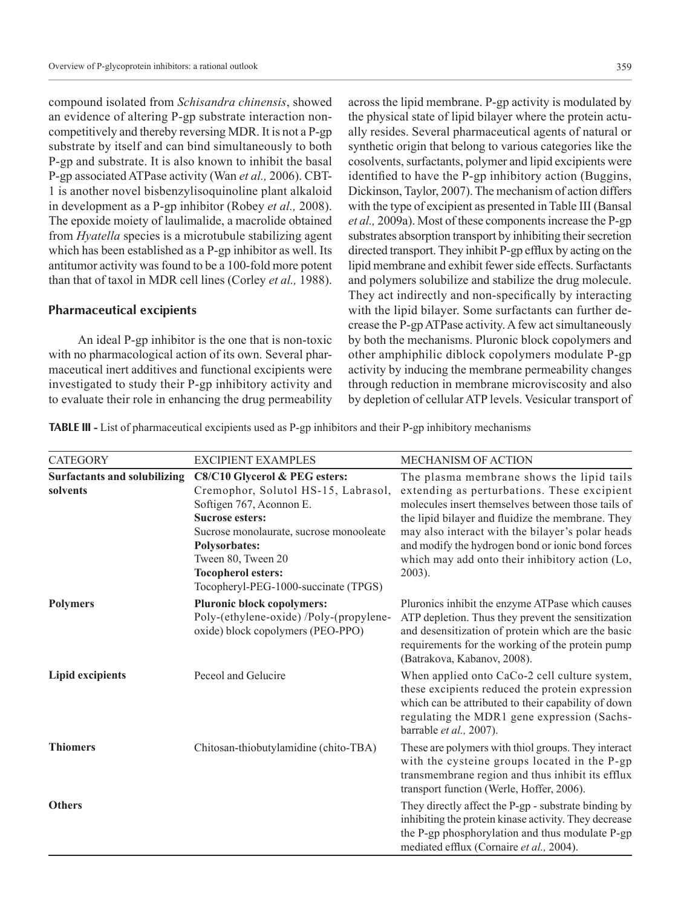compound isolated from *Schisandra chinensis*, showed an evidence of altering P-gp substrate interaction noncompetitively and thereby reversing MDR. It is not a P-gp substrate by itself and can bind simultaneously to both P-gp and substrate. It is also known to inhibit the basal P-gp associated ATPase activity (Wan *et al.,* 2006). CBT-1 is another novel bisbenzylisoquinoline plant alkaloid in development as a P-gp inhibitor (Robey *et al.,* 2008). The epoxide moiety of laulimalide, a macrolide obtained from *Hyatella* species is a microtubule stabilizing agent which has been established as a P-gp inhibitor as well. Its antitumor activity was found to be a 100-fold more potent than that of taxol in MDR cell lines (Corley *et al.,* 1988).

#### **Pharmaceutical excipients**

An ideal P-gp inhibitor is the one that is non-toxic with no pharmacological action of its own. Several pharmaceutical inert additives and functional excipients were investigated to study their P-gp inhibitory activity and to evaluate their role in enhancing the drug permeability

across the lipid membrane. P-gp activity is modulated by the physical state of lipid bilayer where the protein actually resides. Several pharmaceutical agents of natural or synthetic origin that belong to various categories like the cosolvents, surfactants, polymer and lipid excipients were identified to have the P-gp inhibitory action (Buggins, Dickinson, Taylor, 2007). The mechanism of action differs with the type of excipient as presented in Table III (Bansal *et al.,* 2009a). Most of these components increase the P-gp substrates absorption transport by inhibiting their secretion directed transport. They inhibit P-gp efflux by acting on the lipid membrane and exhibit fewer side effects. Surfactants and polymers solubilize and stabilize the drug molecule. They act indirectly and non-specifically by interacting with the lipid bilayer. Some surfactants can further decrease the P-gp ATPase activity. A few act simultaneously by both the mechanisms. Pluronic block copolymers and other amphiphilic diblock copolymers modulate P-gp activity by inducing the membrane permeability changes through reduction in membrane microviscosity and also by depletion of cellular ATP levels. Vesicular transport of

**TABLE III -** List of pharmaceutical excipients used as P-gp inhibitors and their P-gp inhibitory mechanisms

| <b>CATEGORY</b>                     | <b>EXCIPIENT EXAMPLES</b>                                                    | <b>MECHANISM OF ACTION</b>                                                                                                                                                                                                        |
|-------------------------------------|------------------------------------------------------------------------------|-----------------------------------------------------------------------------------------------------------------------------------------------------------------------------------------------------------------------------------|
| <b>Surfactants and solubilizing</b> | C8/C10 Glycerol & PEG esters:                                                | The plasma membrane shows the lipid tails                                                                                                                                                                                         |
| solvents                            | Cremophor, Solutol HS-15, Labrasol,                                          | extending as perturbations. These excipient                                                                                                                                                                                       |
|                                     | Softigen 767, Aconnon E.                                                     | molecules insert themselves between those tails of                                                                                                                                                                                |
|                                     | <b>Sucrose esters:</b>                                                       | the lipid bilayer and fluidize the membrane. They                                                                                                                                                                                 |
|                                     | Sucrose monolaurate, sucrose monooleate                                      | may also interact with the bilayer's polar heads                                                                                                                                                                                  |
|                                     | <b>Polysorbates:</b>                                                         | and modify the hydrogen bond or ionic bond forces                                                                                                                                                                                 |
|                                     | Tween 80, Tween 20                                                           | which may add onto their inhibitory action (Lo,                                                                                                                                                                                   |
|                                     | <b>Tocopherol esters:</b>                                                    | 2003).                                                                                                                                                                                                                            |
|                                     | Tocopheryl-PEG-1000-succinate (TPGS)                                         |                                                                                                                                                                                                                                   |
| <b>Polymers</b>                     | <b>Pluronic block copolymers:</b>                                            | Pluronics inhibit the enzyme ATPase which causes                                                                                                                                                                                  |
|                                     | Poly-(ethylene-oxide) /Poly-(propylene-<br>oxide) block copolymers (PEO-PPO) | ATP depletion. Thus they prevent the sensitization<br>and desensitization of protein which are the basic<br>requirements for the working of the protein pump<br>(Batrakova, Kabanov, 2008).                                       |
| <b>Lipid excipients</b>             | Peceol and Gelucire                                                          | When applied onto CaCo-2 cell culture system,<br>these excipients reduced the protein expression<br>which can be attributed to their capability of down<br>regulating the MDR1 gene expression (Sachs-<br>barrable et al., 2007). |
| <b>Thiomers</b>                     | Chitosan-thiobutylamidine (chito-TBA)                                        | These are polymers with thiol groups. They interact<br>with the cysteine groups located in the P-gp<br>transmembrane region and thus inhibit its efflux<br>transport function (Werle, Hoffer, 2006).                              |
| <b>Others</b>                       |                                                                              | They directly affect the P-gp - substrate binding by<br>inhibiting the protein kinase activity. They decrease<br>the P-gp phosphorylation and thus modulate P-gp<br>mediated efflux (Cornaire et al., 2004).                      |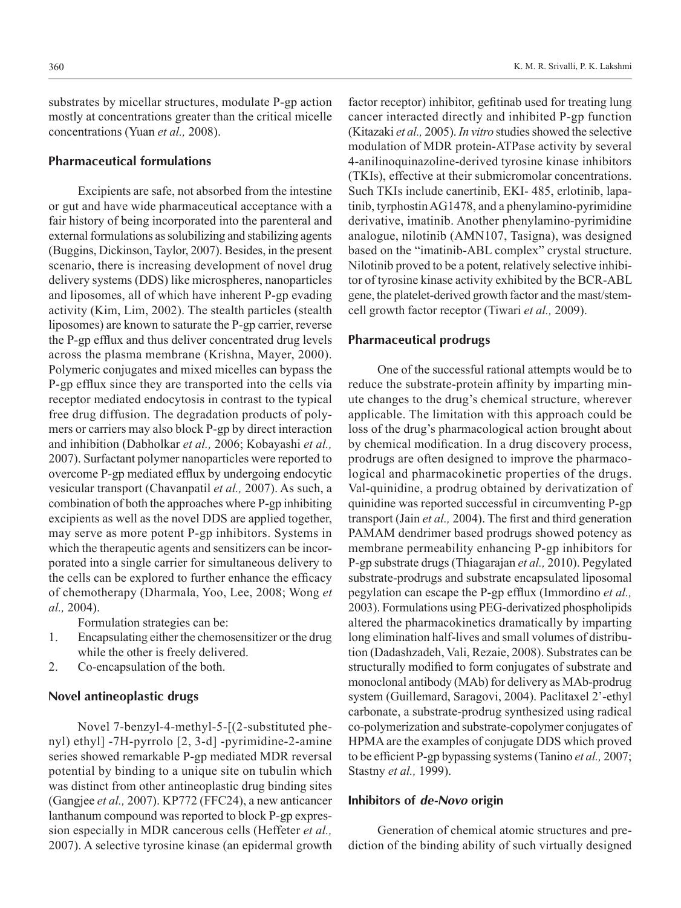substrates by micellar structures, modulate P-gp action mostly at concentrations greater than the critical micelle concentrations (Yuan *et al.,* 2008).

## **Pharmaceutical formulations**

Excipients are safe, not absorbed from the intestine or gut and have wide pharmaceutical acceptance with a fair history of being incorporated into the parenteral and external formulations as solubilizing and stabilizing agents (Buggins, Dickinson, Taylor, 2007). Besides, in the present scenario, there is increasing development of novel drug delivery systems (DDS) like microspheres, nanoparticles and liposomes, all of which have inherent P-gp evading activity (Kim, Lim, 2002). The stealth particles (stealth liposomes) are known to saturate the P-gp carrier, reverse the P-gp efflux and thus deliver concentrated drug levels across the plasma membrane (Krishna, Mayer, 2000). Polymeric conjugates and mixed micelles can bypass the P-gp efflux since they are transported into the cells via receptor mediated endocytosis in contrast to the typical free drug diffusion. The degradation products of polymers or carriers may also block P-gp by direct interaction and inhibition (Dabholkar *et al.,* 2006; Kobayashi *et al.,* 2007). Surfactant polymer nanoparticles were reported to overcome P-gp mediated efflux by undergoing endocytic vesicular transport (Chavanpatil *et al.,* 2007). As such, a combination of both the approaches where P-gp inhibiting excipients as well as the novel DDS are applied together, may serve as more potent P-gp inhibitors. Systems in which the therapeutic agents and sensitizers can be incorporated into a single carrier for simultaneous delivery to the cells can be explored to further enhance the efficacy of chemotherapy (Dharmala, Yoo, Lee, 2008; Wong *et al.,* 2004).

Formulation strategies can be:

- 1. Encapsulating either the chemosensitizer or the drug while the other is freely delivered.
- 2. Co-encapsulation of the both.

#### **Novel antineoplastic drugs**

Novel 7-benzyl-4-methyl-5-[(2-substituted phenyl) ethyl] -7H-pyrrolo [2, 3-d] -pyrimidine-2-amine series showed remarkable P-gp mediated MDR reversal potential by binding to a unique site on tubulin which was distinct from other antineoplastic drug binding sites (Gangjee *et al.,* 2007). KP772 (FFC24), a new anticancer lanthanum compound was reported to block P-gp expression especially in MDR cancerous cells (Heffeter *et al.,* 2007). A selective tyrosine kinase (an epidermal growth

factor receptor) inhibitor, gefitinab used for treating lung cancer interacted directly and inhibited P-gp function (Kitazaki *et al.,* 2005). *In vitro* studies showed the selective modulation of MDR protein-ATPase activity by several 4-anilinoquinazoline-derived tyrosine kinase inhibitors (TKIs), effective at their submicromolar concentrations. Such TKIs include canertinib, EKI- 485, erlotinib, lapatinib, tyrphostin AG1478, and a phenylamino-pyrimidine derivative, imatinib. Another phenylamino-pyrimidine analogue, nilotinib (AMN107, Tasigna), was designed based on the "imatinib-ABL complex" crystal structure. Nilotinib proved to be a potent, relatively selective inhibitor of tyrosine kinase activity exhibited by the BCR-ABL gene, the platelet-derived growth factor and the mast/stemcell growth factor receptor (Tiwari *et al.,* 2009).

## **Pharmaceutical prodrugs**

One of the successful rational attempts would be to reduce the substrate-protein affinity by imparting minute changes to the drug's chemical structure, wherever applicable. The limitation with this approach could be loss of the drug's pharmacological action brought about by chemical modification. In a drug discovery process, prodrugs are often designed to improve the pharmacological and pharmacokinetic properties of the drugs. Val-quinidine, a prodrug obtained by derivatization of quinidine was reported successful in circumventing P-gp transport (Jain *et al.,* 2004). The first and third generation PAMAM dendrimer based prodrugs showed potency as membrane permeability enhancing P-gp inhibitors for P-gp substrate drugs (Thiagarajan *et al.,* 2010). Pegylated substrate-prodrugs and substrate encapsulated liposomal pegylation can escape the P-gp efflux (Immordino *et al.,* 2003). Formulations using PEG-derivatized phospholipids altered the pharmacokinetics dramatically by imparting long elimination half-lives and small volumes of distribution (Dadashzadeh, Vali, Rezaie, 2008). Substrates can be structurally modified to form conjugates of substrate and monoclonal antibody (MAb) for delivery as MAb-prodrug system (Guillemard, Saragovi, 2004). Paclitaxel 2'-ethyl carbonate, a substrate-prodrug synthesized using radical co-polymerization and substrate-copolymer conjugates of HPMA are the examples of conjugate DDS which proved to be efficient P-gp bypassing systems (Tanino *et al.,* 2007; Stastny *et al.,* 1999).

#### **Inhibitors of** *de-Novo* **origin**

Generation of chemical atomic structures and prediction of the binding ability of such virtually designed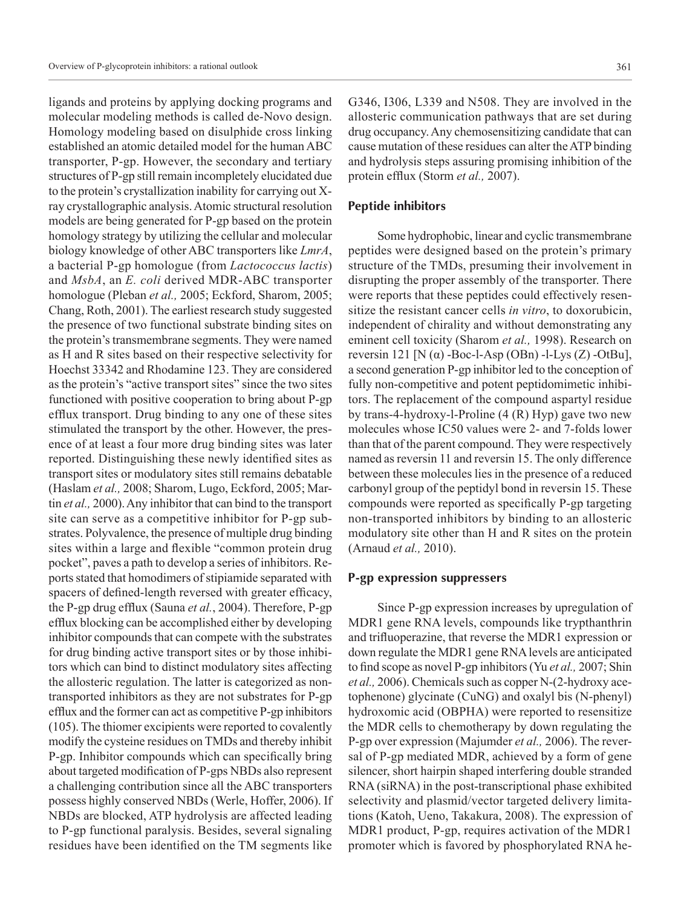ligands and proteins by applying docking programs and molecular modeling methods is called de-Novo design. Homology modeling based on disulphide cross linking established an atomic detailed model for the human ABC transporter, P-gp. However, the secondary and tertiary structures of P-gp still remain incompletely elucidated due to the protein's crystallization inability for carrying out Xray crystallographic analysis. Atomic structural resolution models are being generated for P-gp based on the protein homology strategy by utilizing the cellular and molecular biology knowledge of other ABC transporters like *LmrA*, a bacterial P-gp homologue (from *Lactococcus lactis*) and *MsbA*, an *E. coli* derived MDR-ABC transporter homologue (Pleban *et al.,* 2005; Eckford, Sharom, 2005; Chang, Roth, 2001). The earliest research study suggested the presence of two functional substrate binding sites on the protein's transmembrane segments. They were named as H and R sites based on their respective selectivity for Hoechst 33342 and Rhodamine 123. They are considered as the protein's "active transport sites" since the two sites functioned with positive cooperation to bring about P-gp efflux transport. Drug binding to any one of these sites stimulated the transport by the other. However, the presence of at least a four more drug binding sites was later reported. Distinguishing these newly identified sites as transport sites or modulatory sites still remains debatable (Haslam *et al.,* 2008; Sharom, Lugo, Eckford, 2005; Martin *et al.,* 2000). Any inhibitor that can bind to the transport site can serve as a competitive inhibitor for P-gp substrates. Polyvalence, the presence of multiple drug binding sites within a large and flexible "common protein drug pocket", paves a path to develop a series of inhibitors. Reports stated that homodimers of stipiamide separated with spacers of defined-length reversed with greater efficacy, the P-gp drug efflux (Sauna *et al.*, 2004). Therefore, P-gp efflux blocking can be accomplished either by developing inhibitor compounds that can compete with the substrates for drug binding active transport sites or by those inhibitors which can bind to distinct modulatory sites affecting the allosteric regulation. The latter is categorized as nontransported inhibitors as they are not substrates for P-gp efflux and the former can act as competitive P-gp inhibitors (105). The thiomer excipients were reported to covalently modify the cysteine residues on TMDs and thereby inhibit P-gp. Inhibitor compounds which can specifically bring about targeted modification of P-gps NBDs also represent a challenging contribution since all the ABC transporters possess highly conserved NBDs (Werle, Hoffer, 2006). If NBDs are blocked, ATP hydrolysis are affected leading to P-gp functional paralysis. Besides, several signaling residues have been identified on the TM segments like G346, I306, L339 and N508. They are involved in the allosteric communication pathways that are set during drug occupancy. Any chemosensitizing candidate that can cause mutation of these residues can alter the ATP binding and hydrolysis steps assuring promising inhibition of the protein efflux (Storm *et al.,* 2007).

### **Peptide inhibitors**

Some hydrophobic, linear and cyclic transmembrane peptides were designed based on the protein's primary structure of the TMDs, presuming their involvement in disrupting the proper assembly of the transporter. There were reports that these peptides could effectively resensitize the resistant cancer cells *in vitro*, to doxorubicin, independent of chirality and without demonstrating any eminent cell toxicity (Sharom *et al.,* 1998). Research on reversin 121 [N (α) -Boc-l-Asp (OBn) -l-Lys (Z) -OtBu], a second generation P-gp inhibitor led to the conception of fully non-competitive and potent peptidomimetic inhibitors. The replacement of the compound aspartyl residue by trans-4-hydroxy-l-Proline (4 (R) Hyp) gave two new molecules whose IC50 values were 2- and 7-folds lower than that of the parent compound. They were respectively named as reversin 11 and reversin 15. The only difference between these molecules lies in the presence of a reduced carbonyl group of the peptidyl bond in reversin 15. These compounds were reported as specifically P-gp targeting non-transported inhibitors by binding to an allosteric modulatory site other than H and R sites on the protein (Arnaud *et al.,* 2010).

#### **P-gp expression suppressers**

Since P-gp expression increases by upregulation of MDR1 gene RNA levels, compounds like trypthanthrin and trifluoperazine, that reverse the MDR1 expression or down regulate the MDR1 gene RNA levels are anticipated to find scope as novel P-gp inhibitors (Yu *et al.,* 2007; Shin *et al.,* 2006). Chemicals such as copper N-(2-hydroxy acetophenone) glycinate (CuNG) and oxalyl bis (N-phenyl) hydroxomic acid (OBPHA) were reported to resensitize the MDR cells to chemotherapy by down regulating the P-gp over expression (Majumder *et al.,* 2006). The reversal of P-gp mediated MDR, achieved by a form of gene silencer, short hairpin shaped interfering double stranded RNA (siRNA) in the post-transcriptional phase exhibited selectivity and plasmid/vector targeted delivery limitations (Katoh, Ueno, Takakura, 2008). The expression of MDR1 product, P-gp, requires activation of the MDR1 promoter which is favored by phosphorylated RNA he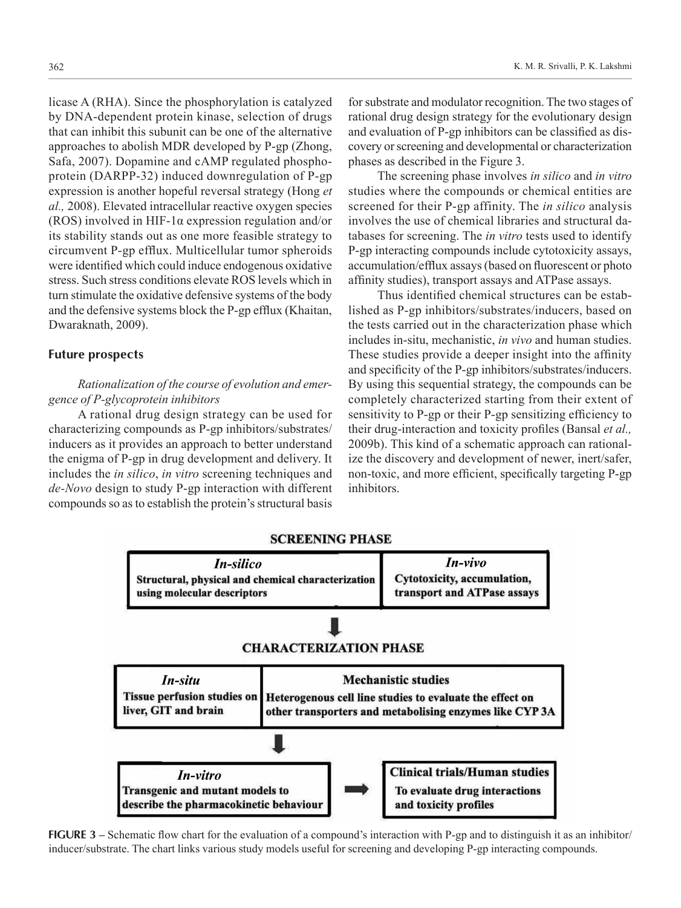licase A (RHA). Since the phosphorylation is catalyzed by DNA-dependent protein kinase, selection of drugs that can inhibit this subunit can be one of the alternative approaches to abolish MDR developed by P-gp (Zhong, Safa, 2007). Dopamine and cAMP regulated phosphoprotein (DARPP-32) induced downregulation of P-gp expression is another hopeful reversal strategy (Hong *et al.,* 2008). Elevated intracellular reactive oxygen species (ROS) involved in HIF-1α expression regulation and/or its stability stands out as one more feasible strategy to circumvent P-gp efflux. Multicellular tumor spheroids were identified which could induce endogenous oxidative stress. Such stress conditions elevate ROS levels which in turn stimulate the oxidative defensive systems of the body and the defensive systems block the P-gp efflux (Khaitan, Dwaraknath, 2009).

## **Future prospects**

## *Rationalization of the course of evolution and emergence of P-glycoprotein inhibitors*

A rational drug design strategy can be used for characterizing compounds as P-gp inhibitors/substrates/ inducers as it provides an approach to better understand the enigma of P-gp in drug development and delivery. It includes the *in silico*, *in vitro* screening techniques and *de-Novo* design to study P-gp interaction with different compounds so as to establish the protein's structural basis

for substrate and modulator recognition. The two stages of rational drug design strategy for the evolutionary design and evaluation of P-gp inhibitors can be classified as discovery or screening and developmental or characterization phases as described in the Figure 3.

The screening phase involves *in silico* and *in vitro* studies where the compounds or chemical entities are screened for their P-gp affinity. The *in silico* analysis involves the use of chemical libraries and structural databases for screening. The *in vitro* tests used to identify P-gp interacting compounds include cytotoxicity assays, accumulation/efflux assays (based on fluorescent or photo affinity studies), transport assays and ATPase assays.

Thus identified chemical structures can be established as P-gp inhibitors/substrates/inducers, based on the tests carried out in the characterization phase which includes in-situ, mechanistic, *in vivo* and human studies. These studies provide a deeper insight into the affinity and specificity of the P-gp inhibitors/substrates/inducers. By using this sequential strategy, the compounds can be completely characterized starting from their extent of sensitivity to P-gp or their P-gp sensitizing efficiency to their drug-interaction and toxicity profiles (Bansal *et al.,* 2009b). This kind of a schematic approach can rationalize the discovery and development of newer, inert/safer, non-toxic, and more efficient, specifically targeting P-gp inhibitors.

#### **SCREENING PHASE**



**FIGURE 3** – Schematic flow chart for the evaluation of a compound's interaction with P-gp and to distinguish it as an inhibitor/ inducer/substrate. The chart links various study models useful for screening and developing P-gp interacting compounds.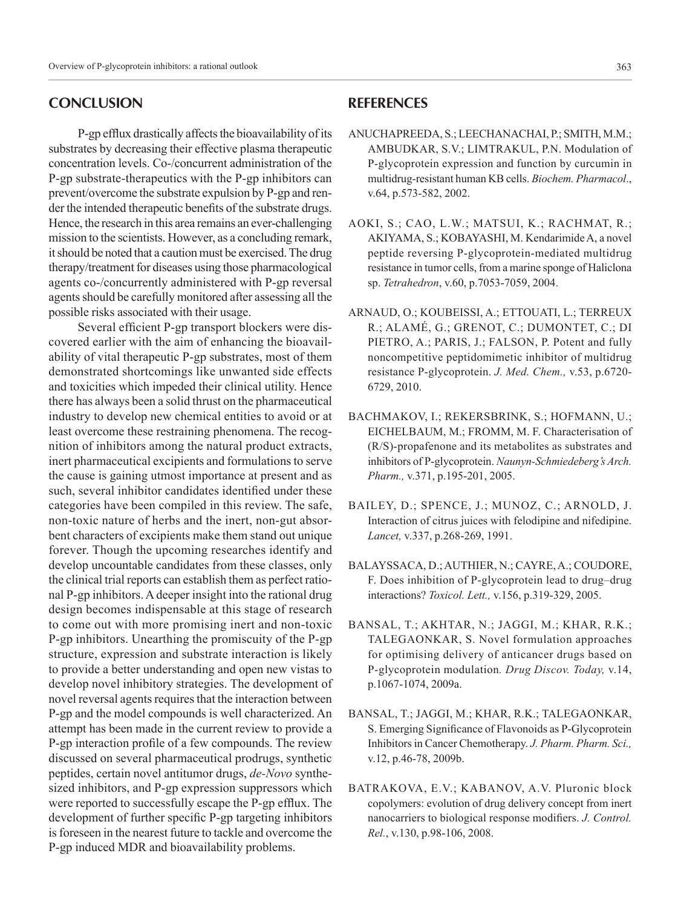# **CONCLUSION**

P-gp efflux drastically affects the bioavailability of its substrates by decreasing their effective plasma therapeutic concentration levels. Co-/concurrent administration of the P-gp substrate-therapeutics with the P-gp inhibitors can prevent/overcome the substrate expulsion by P-gp and render the intended therapeutic benefits of the substrate drugs. Hence, the research in this area remains an ever-challenging mission to the scientists. However, as a concluding remark, it should be noted that a caution must be exercised. The drug therapy/treatment for diseases using those pharmacological agents co-/concurrently administered with P-gp reversal agents should be carefully monitored after assessing all the possible risks associated with their usage.

Several efficient P-gp transport blockers were discovered earlier with the aim of enhancing the bioavailability of vital therapeutic P-gp substrates, most of them demonstrated shortcomings like unwanted side effects and toxicities which impeded their clinical utility. Hence there has always been a solid thrust on the pharmaceutical industry to develop new chemical entities to avoid or at least overcome these restraining phenomena. The recognition of inhibitors among the natural product extracts, inert pharmaceutical excipients and formulations to serve the cause is gaining utmost importance at present and as such, several inhibitor candidates identified under these categories have been compiled in this review. The safe, non-toxic nature of herbs and the inert, non-gut absorbent characters of excipients make them stand out unique forever. Though the upcoming researches identify and develop uncountable candidates from these classes, only the clinical trial reports can establish them as perfect rational P-gp inhibitors. A deeper insight into the rational drug design becomes indispensable at this stage of research to come out with more promising inert and non-toxic P-gp inhibitors. Unearthing the promiscuity of the P-gp structure, expression and substrate interaction is likely to provide a better understanding and open new vistas to develop novel inhibitory strategies. The development of novel reversal agents requires that the interaction between P-gp and the model compounds is well characterized. An attempt has been made in the current review to provide a P-gp interaction profile of a few compounds. The review discussed on several pharmaceutical prodrugs, synthetic peptides, certain novel antitumor drugs, *de-Novo* synthesized inhibitors, and P-gp expression suppressors which were reported to successfully escape the P-gp efflux. The development of further specific P-gp targeting inhibitors is foreseen in the nearest future to tackle and overcome the P-gp induced MDR and bioavailability problems.

# **REFERENCES**

- ANUCHAPREEDA, S.; LEECHANACHAI, P.; SMITH, M.M.; AMBUDKAR, S.V.; LIMTRAKUL, P.N. Modulation of P-glycoprotein expression and function by curcumin in multidrug-resistant human KB cells. *Biochem. Pharmacol*., v.64, p.573-582, 2002.
- AOKI, S.; CAO, L.W.; MATSUI, K.; RACHMAT, R.; AKIYAMA, S.; KOBAYASHI, M. Kendarimide A, a novel peptide reversing P-glycoprotein-mediated multidrug resistance in tumor cells, from a marine sponge of Haliclona sp. *Tetrahedron*, v.60, p.7053-7059, 2004.
- ARNAUD, O.; KOUBEISSI, A.; ETTOUATI, L.; TERREUX R.; ALAMÉ, G.; GRENOT, C.; DUMONTET, C.; DI PIETRO, A.; PARIS, J.; FALSON, P. Potent and fully noncompetitive peptidomimetic inhibitor of multidrug resistance P-glycoprotein. *J. Med. Chem.,* v.53, p.6720- 6729, 2010.
- BACHMAKOV, I.; REKERSBRINK, S.; HOFMANN, U.; EICHELBAUM, M.; FROMM, M. F. Characterisation of (R/S)-propafenone and its metabolites as substrates and inhibitors of P-glycoprotein. *Naunyn-Schmiedeberg's Arch. Pharm.,* v.371, p.195-201, 2005.
- BAILEY, D.; SPENCE, J.; MUNOZ, C.; ARNOLD, J. Interaction of citrus juices with felodipine and nifedipine. *Lancet,* v.337, p.268-269, 1991.
- BALAYSSACA, D.; AUTHIER, N.; CAYRE, A.; COUDORE, F. Does inhibition of P-glycoprotein lead to drug–drug interactions? *Toxicol. Lett.,* v.156, p.319-329, 2005.
- BANSAL, T.; AKHTAR, N.; JAGGI, M.; KHAR, R.K.; TALEGAONKAR, S. Novel formulation approaches for optimising delivery of anticancer drugs based on P-glycoprotein modulation*. Drug Discov. Today,* v.14, p.1067-1074, 2009a.
- BANSAL, T.; JAGGI, M.; KHAR, R.K.; TALEGAONKAR, S. Emerging Significance of Flavonoids as P-Glycoprotein Inhibitors in Cancer Chemotherapy. *J. Pharm. Pharm. Sci.,* v.12, p.46-78, 2009b.
- BATRAKOVA, E.V.; KABANOV, A.V. Pluronic block copolymers: evolution of drug delivery concept from inert nanocarriers to biological response modifiers. *J. Control. Rel.*, v.130, p.98-106, 2008.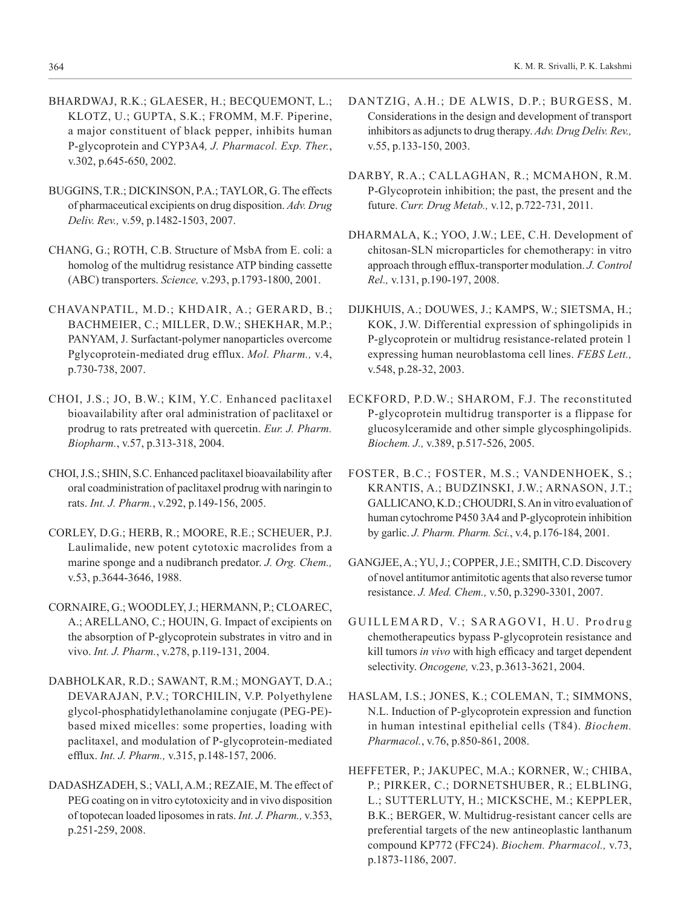- BHARDWAJ, R.K.; GLAESER, H.; BECQUEMONT, L.; KLOTZ, U.; GUPTA, S.K.; FROMM, M.F. Piperine, a major constituent of black pepper, inhibits human P-glycoprotein and CYP3A4*, J. Pharmacol. Exp. Ther.*, v.302, p.645-650, 2002.
- BUGGINS, T.R.; DICKINSON, P.A.; TAYLOR, G. The effects of pharmaceutical excipients on drug disposition. *Adv. Drug Deliv. Rev.,* v.59, p.1482-1503, 2007.
- CHANG, G.; ROTH, C.B. Structure of MsbA from E. coli: a homolog of the multidrug resistance ATP binding cassette (ABC) transporters. *Science,* v.293, p.1793-1800, 2001.
- CHAVANPATIL, M.D.; KHDAIR, A.; GERARD, B.; BACHMEIER, C.; MILLER, D.W.; SHEKHAR, M.P.; PANYAM, J. Surfactant-polymer nanoparticles overcome Pglycoprotein-mediated drug efflux. *Mol. Pharm.,* v.4, p.730-738, 2007.
- CHOI, J.S.; JO, B.W.; KIM, Y.C. Enhanced paclitaxel bioavailability after oral administration of paclitaxel or prodrug to rats pretreated with quercetin. *Eur. J. Pharm. Biopharm.*, v.57, p.313-318, 2004.
- CHOI, J.S.; SHIN, S.C. Enhanced paclitaxel bioavailability after oral coadministration of paclitaxel prodrug with naringin to rats. *Int. J. Pharm.*, v.292, p.149-156, 2005.
- CORLEY, D.G.; HERB, R.; MOORE, R.E.; SCHEUER, P.J. Laulimalide, new potent cytotoxic macrolides from a marine sponge and a nudibranch predator. *J. Org. Chem.,* v.53, p.3644-3646, 1988.
- CORNAIRE, G.; WOODLEY, J.; HERMANN, P.; CLOAREC, A.; ARELLANO, C.; HOUIN, G. Impact of excipients on the absorption of P-glycoprotein substrates in vitro and in vivo. *Int. J. Pharm.*, v.278, p.119-131, 2004.
- DABHOLKAR, R.D.; SAWANT, R.M.; MONGAYT, D.A.; DEVARAJAN, P.V.; TORCHILIN, V.P. Polyethylene glycol-phosphatidylethanolamine conjugate (PEG-PE) based mixed micelles: some properties, loading with paclitaxel, and modulation of P-glycoprotein-mediated efflux. *Int. J. Pharm.,* v.315, p.148-157, 2006.
- DADASHZADEH, S.; VALI, A.M.; REZAIE, M. The effect of PEG coating on in vitro cytotoxicity and in vivo disposition of topotecan loaded liposomes in rats. *Int. J. Pharm.,* v.353, p.251-259, 2008.
- DANTZIG, A.H.; DE ALWIS, D.P.; BURGESS, M. Considerations in the design and development of transport inhibitors as adjuncts to drug therapy. *Adv. Drug Deliv. Rev.,* v.55, p.133-150, 2003.
- DARBY, R.A.; CALLAGHAN, R.; MCMAHON, R.M. P-Glycoprotein inhibition; the past, the present and the future. *Curr. Drug Metab.,* v.12, p.722-731, 2011.
- DHARMALA, K.; YOO, J.W.; LEE, C.H. Development of chitosan-SLN microparticles for chemotherapy: in vitro approach through efflux-transporter modulation. *J. Control Rel.,* v.131, p.190-197, 2008.
- DIJKHUIS, A.; DOUWES, J.; KAMPS, W.; SIETSMA, H.; KOK, J.W. Differential expression of sphingolipids in P-glycoprotein or multidrug resistance-related protein 1 expressing human neuroblastoma cell lines. *FEBS Lett.,* v.548, p.28-32, 2003.
- ECKFORD, P.D.W.; SHAROM, F.J. The reconstituted P-glycoprotein multidrug transporter is a flippase for glucosylceramide and other simple glycosphingolipids. *Biochem. J.,* v.389, p.517-526, 2005.
- FOSTER, B.C.; FOSTER, M.S.; VANDENHOEK, S.; KRANTIS, A.; BUDZINSKI, J.W.; ARNASON, J.T.; GALLICANO, K.D.; CHOUDRI, S. An in vitro evaluation of human cytochrome P450 3A4 and P-glycoprotein inhibition by garlic. *J. Pharm. Pharm. Sci.*, v.4, p.176-184, 2001.
- GANGJEE, A.; YU, J.; COPPER, J.E.; SMITH, C.D. Discovery of novel antitumor antimitotic agents that also reverse tumor resistance. *J. Med. Chem.,* v.50, p.3290-3301, 2007.
- GUILLEMARD, V.; SARAGOVI, H.U. Prodrug chemotherapeutics bypass P-glycoprotein resistance and kill tumors *in vivo* with high efficacy and target dependent selectivity. *Oncogene,* v.23, p.3613-3621, 2004.
- HASLAM, I.S.; JONES, K.; COLEMAN, T.; SIMMONS, N.L. Induction of P-glycoprotein expression and function in human intestinal epithelial cells (T84). *Biochem. Pharmacol.*, v.76, p.850-861, 2008.
- HEFFETER, P.; JAKUPEC, M.A.; KORNER, W.; CHIBA, P.; PIRKER, C.; DORNETSHUBER, R.; ELBLING, L.; SUTTERLUTY, H.; MICKSCHE, M.; KEPPLER, B.K.; BERGER, W. Multidrug-resistant cancer cells are preferential targets of the new antineoplastic lanthanum compound KP772 (FFC24). *Biochem. Pharmacol.,* v.73, p.1873-1186, 2007.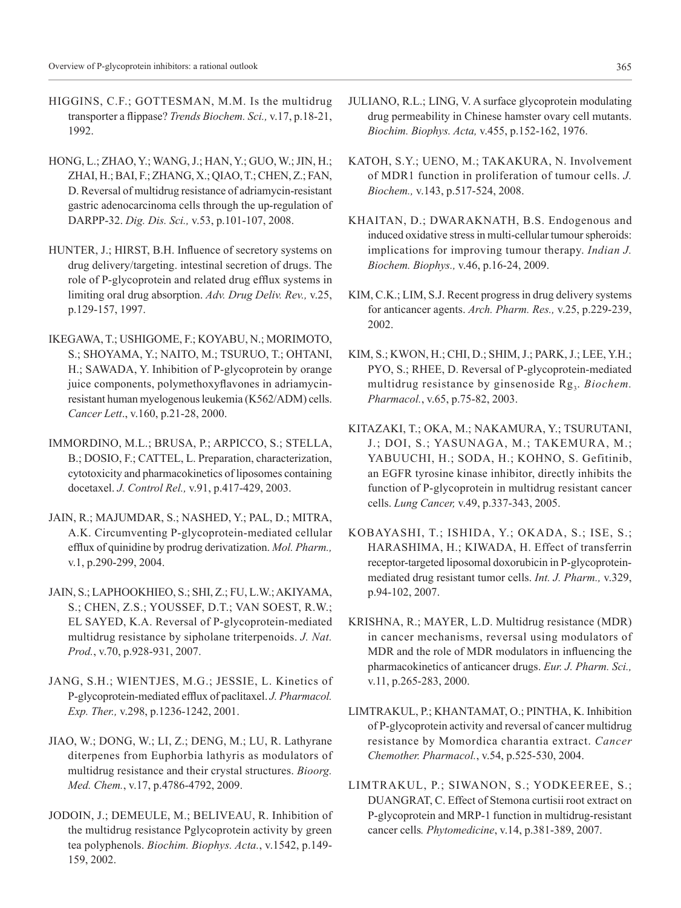- HIGGINS, C.F.; GOTTESMAN, M.M. Is the multidrug transporter a flippase? *Trends Biochem. Sci.,* v.17, p.18-21, 1992.
- HONG, L.; ZHAO, Y.; WANG, J.; HAN, Y.; GUO, W.; JIN, H.; ZHAI, H.; BAI, F.; ZHANG, X.; QIAO, T.; CHEN, Z.; FAN, D. Reversal of multidrug resistance of adriamycin-resistant gastric adenocarcinoma cells through the up-regulation of DARPP-32. *Dig. Dis. Sci.,* v.53, p.101-107, 2008.
- HUNTER, J.; HIRST, B.H. Influence of secretory systems on drug delivery/targeting. intestinal secretion of drugs. The role of P-glycoprotein and related drug efflux systems in limiting oral drug absorption. *Adv. Drug Deliv. Rev.,* v.25, p.129-157, 1997.
- IKEGAWA, T.; USHIGOME, F.; KOYABU, N.; MORIMOTO, S.; SHOYAMA, Y.; NAITO, M.; TSURUO, T.; OHTANI, H.; SAWADA, Y. Inhibition of P-glycoprotein by orange juice components, polymethoxyflavones in adriamycinresistant human myelogenous leukemia (K562/ADM) cells. *Cancer Lett*., v.160, p.21-28, 2000.
- IMMORDINO, M.L.; BRUSA, P.; ARPICCO, S.; STELLA, B.; DOSIO, F.; CATTEL, L. Preparation, characterization, cytotoxicity and pharmacokinetics of liposomes containing docetaxel. *J. Control Rel.,* v.91, p.417-429, 2003.
- JAIN, R.; MAJUMDAR, S.; NASHED, Y.; PAL, D.; MITRA, A.K. Circumventing P-glycoprotein-mediated cellular efflux of quinidine by prodrug derivatization. *Mol. Pharm.,* v.1, p.290-299, 2004.
- JAIN, S.; LAPHOOKHIEO, S.; SHI, Z.; FU, L.W.; AKIYAMA, S.; CHEN, Z.S.; YOUSSEF, D.T.; VAN SOEST, R.W.; EL SAYED, K.A. Reversal of P-glycoprotein-mediated multidrug resistance by sipholane triterpenoids. *J. Nat. Prod.*, v.70, p.928-931, 2007.
- JANG, S.H.; WIENTJES, M.G.; JESSIE, L. Kinetics of P-glycoprotein-mediated efflux of paclitaxel. *J. Pharmacol. Exp. Ther.,* v.298, p.1236-1242, 2001.
- JIAO, W.; DONG, W.; LI, Z.; DENG, M.; LU, R. Lathyrane diterpenes from Euphorbia lathyris as modulators of multidrug resistance and their crystal structures. *Bioorg. Med. Chem.*, v.17, p.4786-4792, 2009.
- JODOIN, J.; DEMEULE, M.; BELIVEAU, R. Inhibition of the multidrug resistance Pglycoprotein activity by green tea polyphenols. *Biochim. Biophys. Acta.*, v.1542, p.149- 159, 2002.
- JULIANO, R.L.; LING, V. A surface glycoprotein modulating drug permeability in Chinese hamster ovary cell mutants. *Biochim. Biophys. Acta,* v.455, p.152-162, 1976.
- KATOH, S.Y.; UENO, M.; TAKAKURA, N. Involvement of MDR1 function in proliferation of tumour cells. *J. Biochem.,* v.143, p.517-524, 2008.
- KHAITAN, D.; DWARAKNATH, B.S. Endogenous and induced oxidative stress in multi-cellular tumour spheroids: implications for improving tumour therapy. *Indian J. Biochem. Biophys.,* v.46, p.16-24, 2009.
- KIM, C.K.; LIM, S.J. Recent progress in drug delivery systems for anticancer agents. *Arch. Pharm. Res.,* v.25, p.229-239, 2002.
- KIM, S.; KWON, H.; CHI, D.; SHIM, J.; PARK, J.; LEE, Y.H.; PYO, S.; RHEE, D. Reversal of P-glycoprotein-mediated multidrug resistance by ginsenoside Rg<sub>3</sub>. *Biochem*. *Pharmacol.*, v.65, p.75-82, 2003.
- KITAZAKI, T.; OKA, M.; NAKAMURA, Y.; TSURUTANI, J.; DOI, S.; YASUNAGA, M.; TAKEMURA, M.; YABUUCHI, H.; SODA, H.; KOHNO, S. Gefitinib, an EGFR tyrosine kinase inhibitor, directly inhibits the function of P-glycoprotein in multidrug resistant cancer cells. *Lung Cancer,* v.49, p.337-343, 2005.
- KOBAYASHI, T.; ISHIDA, Y.; OKADA, S.; ISE, S.; HARASHIMA, H.; KIWADA, H. Effect of transferrin receptor-targeted liposomal doxorubicin in P-glycoproteinmediated drug resistant tumor cells. *Int. J. Pharm.,* v.329, p.94-102, 2007.
- KRISHNA, R.; MAYER, L.D. Multidrug resistance (MDR) in cancer mechanisms, reversal using modulators of MDR and the role of MDR modulators in influencing the pharmacokinetics of anticancer drugs. *Eur. J. Pharm. Sci.,*  v.11, p.265-283, 2000.
- LIMTRAKUL, P.; KHANTAMAT, O.; PINTHA, K. Inhibition of P-glycoprotein activity and reversal of cancer multidrug resistance by Momordica charantia extract. *Cancer Chemother. Pharmacol.*, v.54, p.525-530, 2004.
- LIMTRAKUL, P.; SIWANON, S.; YODKEEREE, S.; DUANGRAT, C. Effect of Stemona curtisii root extract on P-glycoprotein and MRP-1 function in multidrug-resistant cancer cells*. Phytomedicine*, v.14, p.381-389, 2007.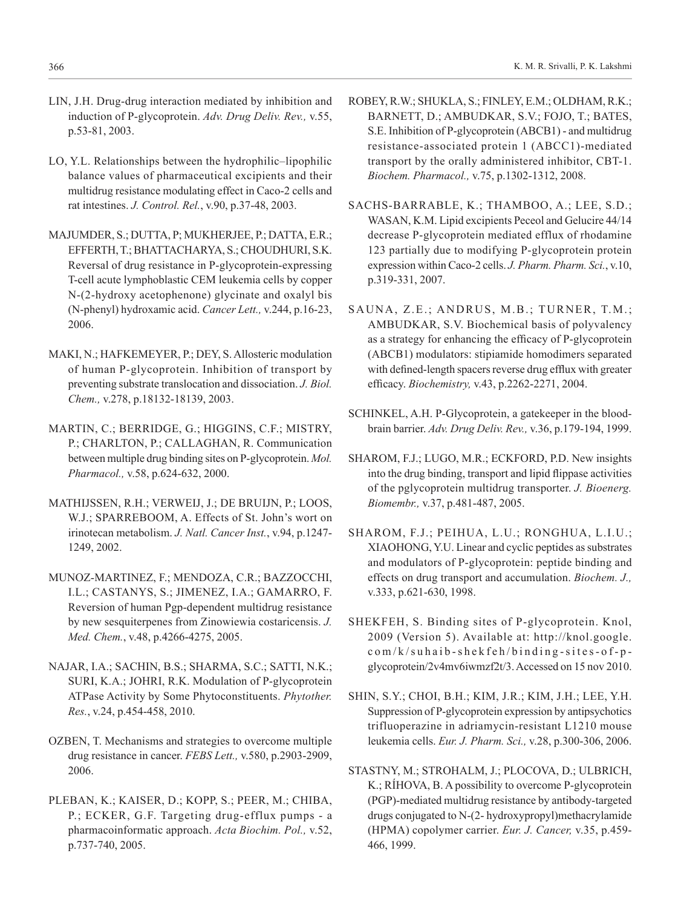- LIN, J.H. Drug-drug interaction mediated by inhibition and induction of P-glycoprotein. *Adv. Drug Deliv. Rev.,* v.55, p.53-81, 2003.
- LO, Y.L. Relationships between the hydrophilic–lipophilic balance values of pharmaceutical excipients and their multidrug resistance modulating effect in Caco-2 cells and rat intestines. *J. Control. Rel.*, v.90, p.37-48, 2003.
- MAJUMDER, S.; DUTTA, P; MUKHERJEE, P.; DATTA, E.R.; EFFERTH, T.; BHATTACHARYA, S.; CHOUDHURI, S.K. Reversal of drug resistance in P-glycoprotein-expressing T-cell acute lymphoblastic CEM leukemia cells by copper N-(2-hydroxy acetophenone) glycinate and oxalyl bis (N-phenyl) hydroxamic acid. *Cancer Lett.,* v.244, p.16-23, 2006.
- MAKI, N.; HAFKEMEYER, P.; DEY, S. Allosteric modulation of human P-glycoprotein. Inhibition of transport by preventing substrate translocation and dissociation. *J. Biol. Chem.,* v.278, p.18132-18139, 2003.
- MARTIN, C.; BERRIDGE, G.; HIGGINS, C.F.; MISTRY, P.; CHARLTON, P.; CALLAGHAN, R. Communication between multiple drug binding sites on P-glycoprotein. *Mol. Pharmacol.,* v.58, p.624-632, 2000.
- MATHIJSSEN, R.H.; VERWEIJ, J.; DE BRUIJN, P.; LOOS, W.J.; SPARREBOOM, A. Effects of St. John's wort on irinotecan metabolism. *J. Natl. Cancer Inst.*, v.94, p.1247- 1249, 2002.
- MUNOZ-MARTINEZ, F.; MENDOZA, C.R.; BAZZOCCHI, I.L.; CASTANYS, S.; JIMENEZ, I.A.; GAMARRO, F. Reversion of human Pgp-dependent multidrug resistance by new sesquiterpenes from Zinowiewia costaricensis. *J. Med. Chem.*, v.48, p.4266-4275, 2005.
- NAJAR, I.A.; SACHIN, B.S.; SHARMA, S.C.; SATTI, N.K.; SURI, K.A.; JOHRI, R.K. Modulation of P-glycoprotein ATPase Activity by Some Phytoconstituents. *Phytother. Res.*, v.24, p.454-458, 2010.
- OZBEN, T. Mechanisms and strategies to overcome multiple drug resistance in cancer. *FEBS Lett.,* v.580, p.2903-2909, 2006.
- PLEBAN, K.; KAISER, D.; KOPP, S.; PEER, M.; CHIBA, P.; ECKER, G.F. Targeting drug-efflux pumps - a pharmacoinformatic approach. *Acta Biochim. Pol.,* v.52, p.737-740, 2005.
- ROBEY, R.W.; SHUKLA, S.; FINLEY, E.M.; OLDHAM, R.K.; BARNETT, D.; AMBUDKAR, S.V.; FOJO, T.; BATES, S.E. Inhibition of P-glycoprotein (ABCB1) - and multidrug resistance-associated protein 1 (ABCC1)-mediated transport by the orally administered inhibitor, CBT-1. *Biochem. Pharmacol.,* v.75, p.1302-1312, 2008.
- SACHS-BARRABLE, K.; THAMBOO, A.; LEE, S.D.; WASAN, K.M. Lipid excipients Peceol and Gelucire 44/14 decrease P-glycoprotein mediated efflux of rhodamine 123 partially due to modifying P-glycoprotein protein expression within Caco-2 cells. *J. Pharm. Pharm. Sci.*, v.10, p.319-331, 2007.
- SAUNA, Z.E.; ANDRUS, M.B.; TURNER, T.M.; AMBUDKAR, S.V. Biochemical basis of polyvalency as a strategy for enhancing the efficacy of P-glycoprotein (ABCB1) modulators: stipiamide homodimers separated with defined-length spacers reverse drug efflux with greater efficacy. *Biochemistry,* v.43, p.2262-2271, 2004.
- SCHINKEL, A.H. P-Glycoprotein, a gatekeeper in the bloodbrain barrier. *Adv. Drug Deliv. Rev.,* v.36, p.179-194, 1999.
- SHAROM, F.J.; LUGO, M.R.; ECKFORD, P.D. New insights into the drug binding, transport and lipid flippase activities of the pglycoprotein multidrug transporter. *J. Bioenerg. Biomembr.,* v.37, p.481-487, 2005.
- SHAROM, F.J.; PEIHUA, L.U.; RONGHUA, L.I.U.; XIAOHONG, Y.U. Linear and cyclic peptides as substrates and modulators of P-glycoprotein: peptide binding and effects on drug transport and accumulation. *Biochem. J.,* v.333, p.621-630, 1998.
- SHEKFEH, S. Binding sites of P-glycoprotein. Knol, 2009 (Version 5). Available at: http://knol.google. com/k/suhaib-shekfeh/binding-sites-of-pglycoprotein/2v4mv6iwmzf2t/3. Accessed on 15 nov 2010.
- SHIN, S.Y.; CHOI, B.H.; KIM, J.R.; KIM, J.H.; LEE, Y.H. Suppression of P-glycoprotein expression by antipsychotics trifluoperazine in adriamycin-resistant L1210 mouse leukemia cells. *Eur. J. Pharm. Sci.,* v.28, p.300-306, 2006.
- STASTNY, M.; STROHALM, J.; PLOCOVA, D.; ULBRICH, K.; RÍHOVA, B. A possibility to overcome P-glycoprotein (PGP)-mediated multidrug resistance by antibody-targeted drugs conjugated to N-(2- hydroxypropyl)methacrylamide (HPMA) copolymer carrier. *Eur. J. Cancer,* v.35, p.459- 466, 1999.